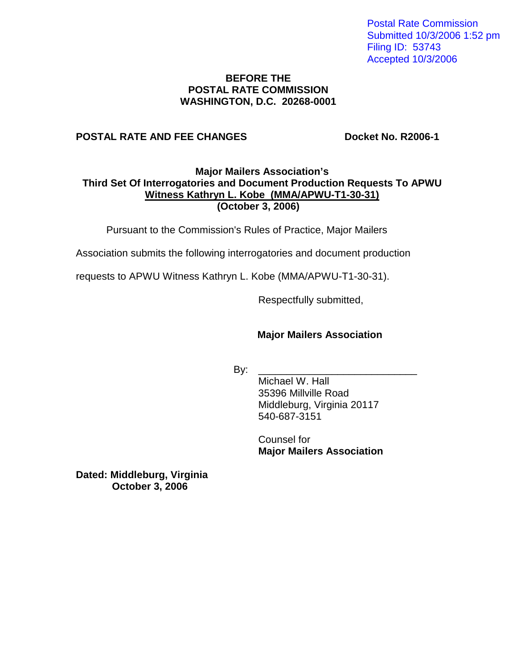Postal Rate Commission Submitted 10/3/2006 1:52 pm Filing ID: 53743 Accepted 10/3/2006

#### **BEFORE THE POSTAL RATE COMMISSION WASHINGTON, D.C. 20268-0001**

## **POSTAL RATE AND FEE CHANGES Docket No. R2006-1**

#### **Major Mailers Association's Third Set Of Interrogatories and Document Production Requests To APWU Witness Kathryn L. Kobe (MMA/APWU-T1-30-31) (October 3, 2006)**

Pursuant to the Commission's Rules of Practice, Major Mailers

Association submits the following interrogatories and document production

requests to APWU Witness Kathryn L. Kobe (MMA/APWU-T1-30-31).

Respectfully submitted,

# **Major Mailers Association**

By: \_\_\_\_\_\_\_\_\_\_\_\_\_\_\_\_\_\_\_\_\_\_\_\_\_\_\_\_

Michael W. Hall 35396 Millville Road Middleburg, Virginia 20117 540-687-3151

Counsel for **Major Mailers Association**

**Dated: Middleburg, Virginia October 3, 2006**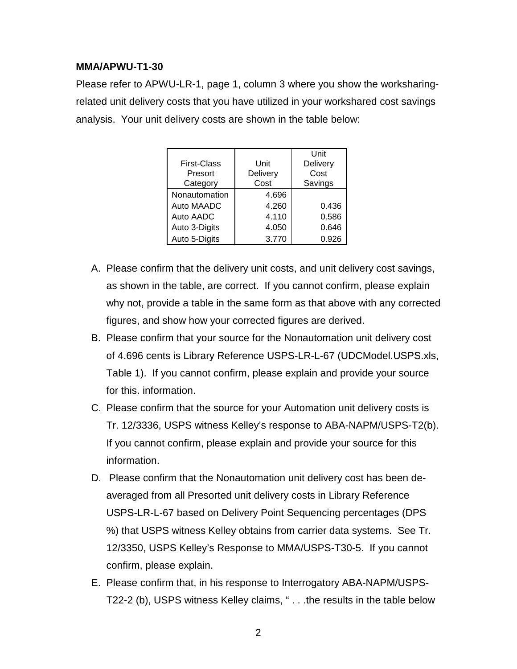# **MMA/APWU-T1-30**

Please refer to APWU-LR-1, page 1, column 3 where you show the worksharingrelated unit delivery costs that you have utilized in your workshared cost savings analysis. Your unit delivery costs are shown in the table below:

| First-Class<br>Presort<br>Category | Unit<br>Delivery<br>Cost | Unit<br>Delivery<br>Cost<br>Savings |
|------------------------------------|--------------------------|-------------------------------------|
| Nonautomation                      | 4.696                    |                                     |
| Auto MAADC                         | 4.260                    | 0.436                               |
| Auto AADC                          | 4.110                    | 0.586                               |
| Auto 3-Digits                      | 4.050                    | 0.646                               |
| Auto 5-Digits                      | 3.770                    | 0.926                               |

- A. Please confirm that the delivery unit costs, and unit delivery cost savings, as shown in the table, are correct. If you cannot confirm, please explain why not, provide a table in the same form as that above with any corrected figures, and show how your corrected figures are derived.
- B. Please confirm that your source for the Nonautomation unit delivery cost of 4.696 cents is Library Reference USPS-LR-L-67 (UDCModel.USPS.xls, Table 1). If you cannot confirm, please explain and provide your source for this. information.
- C. Please confirm that the source for your Automation unit delivery costs is Tr. 12/3336, USPS witness Kelley's response to ABA-NAPM/USPS-T2(b). If you cannot confirm, please explain and provide your source for this information.
- D. Please confirm that the Nonautomation unit delivery cost has been deaveraged from all Presorted unit delivery costs in Library Reference USPS-LR-L-67 based on Delivery Point Sequencing percentages (DPS %) that USPS witness Kelley obtains from carrier data systems. See Tr. 12/3350, USPS Kelley's Response to MMA/USPS-T30-5. If you cannot confirm, please explain.
- E. Please confirm that, in his response to Interrogatory ABA-NAPM/USPS-T22-2 (b), USPS witness Kelley claims, " . . .the results in the table below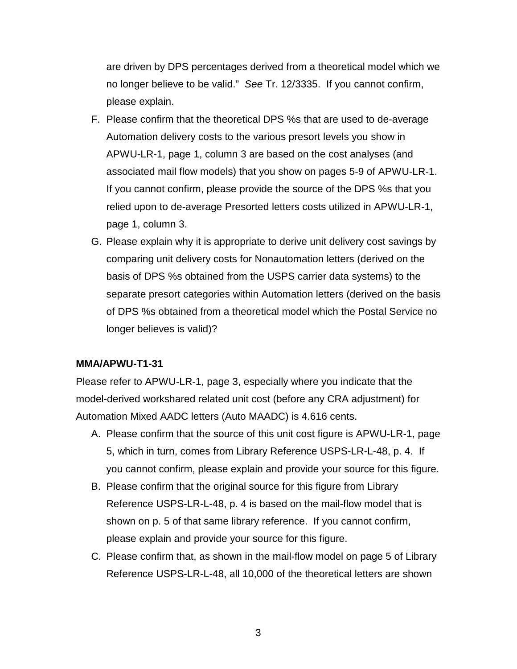are driven by DPS percentages derived from a theoretical model which we no longer believe to be valid." See Tr. 12/3335. If you cannot confirm, please explain.

- F. Please confirm that the theoretical DPS %s that are used to de-average Automation delivery costs to the various presort levels you show in APWU-LR-1, page 1, column 3 are based on the cost analyses (and associated mail flow models) that you show on pages 5-9 of APWU-LR-1. If you cannot confirm, please provide the source of the DPS %s that you relied upon to de-average Presorted letters costs utilized in APWU-LR-1, page 1, column 3.
- G. Please explain why it is appropriate to derive unit delivery cost savings by comparing unit delivery costs for Nonautomation letters (derived on the basis of DPS %s obtained from the USPS carrier data systems) to the separate presort categories within Automation letters (derived on the basis of DPS %s obtained from a theoretical model which the Postal Service no longer believes is valid)?

#### **MMA/APWU-T1-31**

Please refer to APWU-LR-1, page 3, especially where you indicate that the model-derived workshared related unit cost (before any CRA adjustment) for Automation Mixed AADC letters (Auto MAADC) is 4.616 cents.

- A. Please confirm that the source of this unit cost figure is APWU-LR-1, page 5, which in turn, comes from Library Reference USPS-LR-L-48, p. 4. If you cannot confirm, please explain and provide your source for this figure.
- B. Please confirm that the original source for this figure from Library Reference USPS-LR-L-48, p. 4 is based on the mail-flow model that is shown on p. 5 of that same library reference. If you cannot confirm, please explain and provide your source for this figure.
- C. Please confirm that, as shown in the mail-flow model on page 5 of Library Reference USPS-LR-L-48, all 10,000 of the theoretical letters are shown